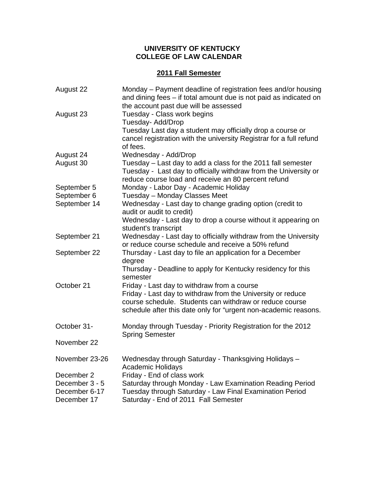## **UNIVERSITY OF KENTUCKY COLLEGE OF LAW CALENDAR**

## **2011 Fall Semester**

| August 22                    | Monday - Payment deadline of registration fees and/or housing<br>and dining fees - if total amount due is not paid as indicated on<br>the account past due will be assessed               |
|------------------------------|-------------------------------------------------------------------------------------------------------------------------------------------------------------------------------------------|
| August 23                    | Tuesday - Class work begins<br>Tuesday- Add/Drop                                                                                                                                          |
|                              | Tuesday Last day a student may officially drop a course or<br>cancel registration with the university Registrar for a full refund<br>of fees.                                             |
| August 24                    | Wednesday - Add/Drop                                                                                                                                                                      |
| August 30                    | Tuesday – Last day to add a class for the 2011 fall semester<br>Tuesday - Last day to officially withdraw from the University or<br>reduce course load and receive an 80 percent refund   |
| September 5                  | Monday - Labor Day - Academic Holiday                                                                                                                                                     |
| September 6                  | Tuesday - Monday Classes Meet                                                                                                                                                             |
| September 14                 | Wednesday - Last day to change grading option (credit to<br>audit or audit to credit)                                                                                                     |
|                              | Wednesday - Last day to drop a course without it appearing on<br>student's transcript                                                                                                     |
| September 21                 | Wednesday - Last day to officially withdraw from the University<br>or reduce course schedule and receive a 50% refund                                                                     |
| September 22                 | Thursday - Last day to file an application for a December<br>degree                                                                                                                       |
|                              | Thursday - Deadline to apply for Kentucky residency for this<br>semester                                                                                                                  |
| October 21                   | Friday - Last day to withdraw from a course                                                                                                                                               |
|                              | Friday - Last day to withdraw from the University or reduce<br>course schedule. Students can withdraw or reduce course<br>schedule after this date only for "urgent non-academic reasons. |
| October 31-                  | Monday through Tuesday - Priority Registration for the 2012<br><b>Spring Semester</b>                                                                                                     |
| November 22                  |                                                                                                                                                                                           |
| November 23-26               | Wednesday through Saturday - Thanksgiving Holidays -<br><b>Academic Holidays</b>                                                                                                          |
| December 2                   | Friday - End of class work                                                                                                                                                                |
| December 3 - 5               | Saturday through Monday - Law Examination Reading Period                                                                                                                                  |
| December 6-17<br>December 17 | Tuesday through Saturday - Law Final Examination Period<br>Saturday - End of 2011 Fall Semester                                                                                           |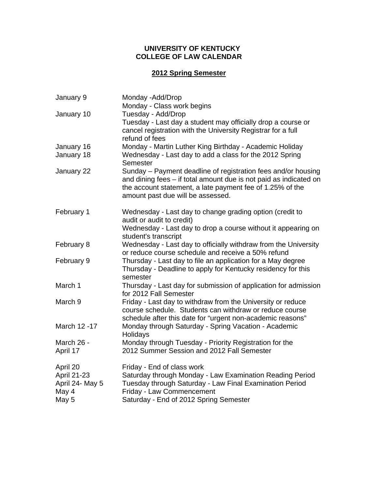## **UNIVERSITY OF KENTUCKY COLLEGE OF LAW CALENDAR**

# **2012 Spring Semester**

| January 9       | Monday - Add/Drop                                                                                                                                                                                                                    |
|-----------------|--------------------------------------------------------------------------------------------------------------------------------------------------------------------------------------------------------------------------------------|
|                 | Monday - Class work begins                                                                                                                                                                                                           |
| January 10      | Tuesday - Add/Drop<br>Tuesday - Last day a student may officially drop a course or<br>cancel registration with the University Registrar for a full<br>refund of fees                                                                 |
| January 16      | Monday - Martin Luther King Birthday - Academic Holiday                                                                                                                                                                              |
| January 18      | Wednesday - Last day to add a class for the 2012 Spring<br>Semester                                                                                                                                                                  |
| January 22      | Sunday – Payment deadline of registration fees and/or housing<br>and dining fees - if total amount due is not paid as indicated on<br>the account statement, a late payment fee of 1.25% of the<br>amount past due will be assessed. |
| February 1      | Wednesday - Last day to change grading option (credit to<br>audit or audit to credit)                                                                                                                                                |
|                 | Wednesday - Last day to drop a course without it appearing on<br>student's transcript                                                                                                                                                |
| February 8      | Wednesday - Last day to officially withdraw from the University<br>or reduce course schedule and receive a 50% refund                                                                                                                |
| February 9      | Thursday - Last day to file an application for a May degree<br>Thursday - Deadline to apply for Kentucky residency for this<br>semester                                                                                              |
| March 1         | Thursday - Last day for submission of application for admission<br>for 2012 Fall Semester                                                                                                                                            |
| March 9         | Friday - Last day to withdraw from the University or reduce<br>course schedule. Students can withdraw or reduce course<br>schedule after this date for "urgent non-academic reasons"                                                 |
| March 12 - 17   | Monday through Saturday - Spring Vacation - Academic<br>Holidays                                                                                                                                                                     |
| March 26 -      | Monday through Tuesday - Priority Registration for the                                                                                                                                                                               |
| April 17        | 2012 Summer Session and 2012 Fall Semester                                                                                                                                                                                           |
| April 20        | Friday - End of class work                                                                                                                                                                                                           |
| April 21-23     | Saturday through Monday - Law Examination Reading Period                                                                                                                                                                             |
| April 24- May 5 | Tuesday through Saturday - Law Final Examination Period                                                                                                                                                                              |
| May 4           | Friday - Law Commencement                                                                                                                                                                                                            |
| May 5           | Saturday - End of 2012 Spring Semester                                                                                                                                                                                               |